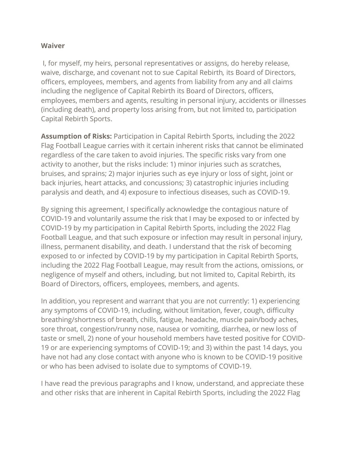#### **Waiver**

I, for myself, my heirs, personal representatives or assigns, do hereby release, waive, discharge, and covenant not to sue Capital Rebirth*,* its Board of Directors, officers, employees, members, and agents from liability from any and all claims including the negligence of Capital Rebirth its Board of Directors, officers, employees, members and agents, resulting in personal injury, accidents or illnesses (including death), and property loss arising from, but not limited to, participation Capital Rebirth Sports.

**Assumption of Risks:** Participation in Capital Rebirth Sports, including the 2022 Flag Football League carries with it certain inherent risks that cannot be eliminated regardless of the care taken to avoid injuries. The specific risks vary from one activity to another, but the risks include: 1) minor injuries such as scratches, bruises, and sprains; 2) major injuries such as eye injury or loss of sight, joint or back injuries, heart attacks, and concussions; 3) catastrophic injuries including paralysis and death, and 4) exposure to infectious diseases, such as COVID-19.

By signing this agreement, I specifically acknowledge the contagious nature of COVID-19 and voluntarily assume the risk that I may be exposed to or infected by COVID-19 by my participation in Capital Rebirth Sports, including the 2022 Flag Football League, and that such exposure or infection may result in personal injury, illness, permanent disability, and death. I understand that the risk of becoming exposed to or infected by COVID-19 by my participation in Capital Rebirth Sports, including the 2022 Flag Football League, may result from the actions, omissions, or negligence of myself and others, including, but not limited to, Capital Rebirth, its Board of Directors, officers, employees, members, and agents.

In addition, you represent and warrant that you are not currently: 1) experiencing any symptoms of COVID-19, including, without limitation, fever, cough, difficulty breathing/shortness of breath, chills, fatigue, headache, muscle pain/body aches, sore throat, congestion/runny nose, nausea or vomiting, diarrhea, or new loss of taste or smell, 2) none of your household members have tested positive for COVID-19 or are experiencing symptoms of COVID-19; and 3) within the past 14 days, you have not had any close contact with anyone who is known to be COVID-19 positive or who has been advised to isolate due to symptoms of COVID-19.

I have read the previous paragraphs and I know, understand, and appreciate these and other risks that are inherent in Capital Rebirth Sports, including the 2022 Flag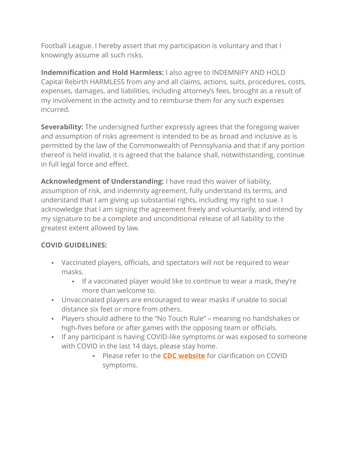Football League. I hereby assert that my participation is voluntary and that I knowingly assume all such risks.

**Indemnification and Hold Harmless:** I also agree to INDEMNIFY AND HOLD Capital Rebirth HARMLESS from any and all claims, actions, suits, procedures, costs, expenses, damages, and liabilities, including attorney's fees, brought as a result of my involvement in the activity and to reimburse them for any such expenses incurred.

**Severability:** The undersigned further expressly agrees that the foregoing waiver and assumption of risks agreement is intended to be as broad and inclusive as is permitted by the law of the Commonwealth of Pennsylvania and that if any portion thereof is held invalid, it is agreed that the balance shall, notwithstanding, continue in full legal force and effect.

**Acknowledgment of Understanding:** I have read this waiver of liability, assumption of risk, and indemnity agreement, fully understand its terms, and understand that I am giving up substantial rights, including my right to sue. I acknowledge that I am signing the agreement freely and voluntarily, and intend by my signature to be a complete and unconditional release of all liability to the greatest extent allowed by law.

# **COVID GUIDELINES:**

- Vaccinated players, officials, and spectators will not be required to wear masks.
	- If a vaccinated player would like to continue to wear a mask, they're more than welcome to.
- Unvaccinated players are encouraged to wear masks if unable to social distance six feet or more from others.
- Players should adhere to the "No Touch Rule" meaning no handshakes or high-fives before or after games with the opposing team or officials.
- **.** If any participant is having COVID-like symptoms or was exposed to someone with COVID in the last 14 days, please stay home.
	- Please refer to the **[CDC website](https://www.cdc.gov/coronavirus/2019-ncov/symptoms-testing/symptoms.html)** for clarification on COVID symptoms.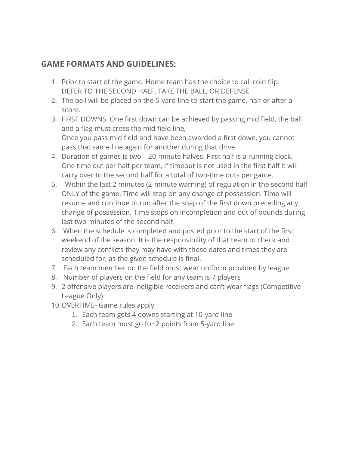# **GAME FORMATS AND GUIDELINES:**

- 1. Prior to start of the game. Home team has the choice to call coin flip. DEFER TO THE SECOND HALF, TAKE THE BALL, OR DEFENSE
- 2. The ball will be placed on the 5-yard line to start the game, half or after a score.
- 3. FIRST DOWNS: One first down can be achieved by passing mid field, the ball and a flag must cross the mid field line, Once you pass mid field and have been awarded a first down, you cannot pass that same line again for another during that drive
- 4. Duration of games is two 20-minute halves. First half is a running clock. One time out per half per team, if timeout is not used in the first half it will carry over to the second half for a total of two-time outs per game.
- 5. Within the last 2 minutes (2-minute warning) of regulation in the second half ONLY of the game. Time will stop on any change of possession. Time will resume and continue to run after the snap of the first down preceding any change of possession. Time stops on incompletion and out of bounds during last two minutes of the second half.
- 6. When the schedule is completed and posted prior to the start of the first weekend of the season. It is the responsibility of that team to check and review any conflicts they may have with those dates and times they are scheduled for, as the given schedule is final.
- 7. Each team member on the field must wear uniform provided by league.
- 8. Number of players on the field for any team is 7 players
- 9. 2 offensive players are ineligible receivers and can't wear flags (Competitive League Only)
- 10.OVERTIME- Game rules apply
	- 1. Each team gets 4 downs starting at 10-yard line
	- 2. Each team must go for 2 points from 5-yard line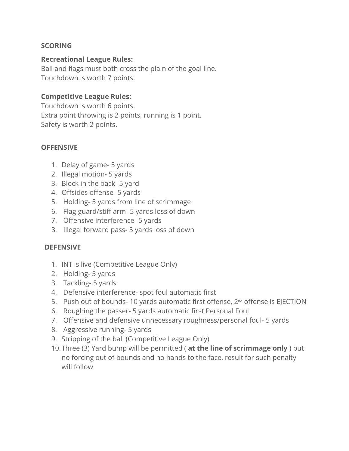## **SCORING**

#### **Recreational League Rules:**

Ball and flags must both cross the plain of the goal line. Touchdown is worth 7 points.

## **Competitive League Rules:**

Touchdown is worth 6 points. Extra point throwing is 2 points, running is 1 point. Safety is worth 2 points.

#### **OFFENSIVE**

- 1. Delay of game- 5 yards
- 2. Illegal motion- 5 yards
- 3. Block in the back- 5 yard
- 4. Offsides offense- 5 yards
- 5. Holding- 5 yards from line of scrimmage
- 6. Flag guard/stiff arm- 5 yards loss of down
- 7. Offensive interference- 5 yards
- 8. Illegal forward pass- 5 yards loss of down

#### **DEFENSIVE**

- 1. INT is live (Competitive League Only)
- 2. Holding- 5 yards
- 3. Tackling- 5 yards
- 4. Defensive interference- spot foul automatic first
- 5. Push out of bounds- 10 yards automatic first offense, 2nd offense is EJECTION
- 6. Roughing the passer- 5 yards automatic first Personal Foul
- 7. Offensive and defensive unnecessary roughness/personal foul- 5 yards
- 8. Aggressive running- 5 yards
- 9. Stripping of the ball (Competitive League Only)
- 10.Three (3) Yard bump will be permitted ( **at the line of scrimmage only** ) but no forcing out of bounds and no hands to the face, result for such penalty will follow